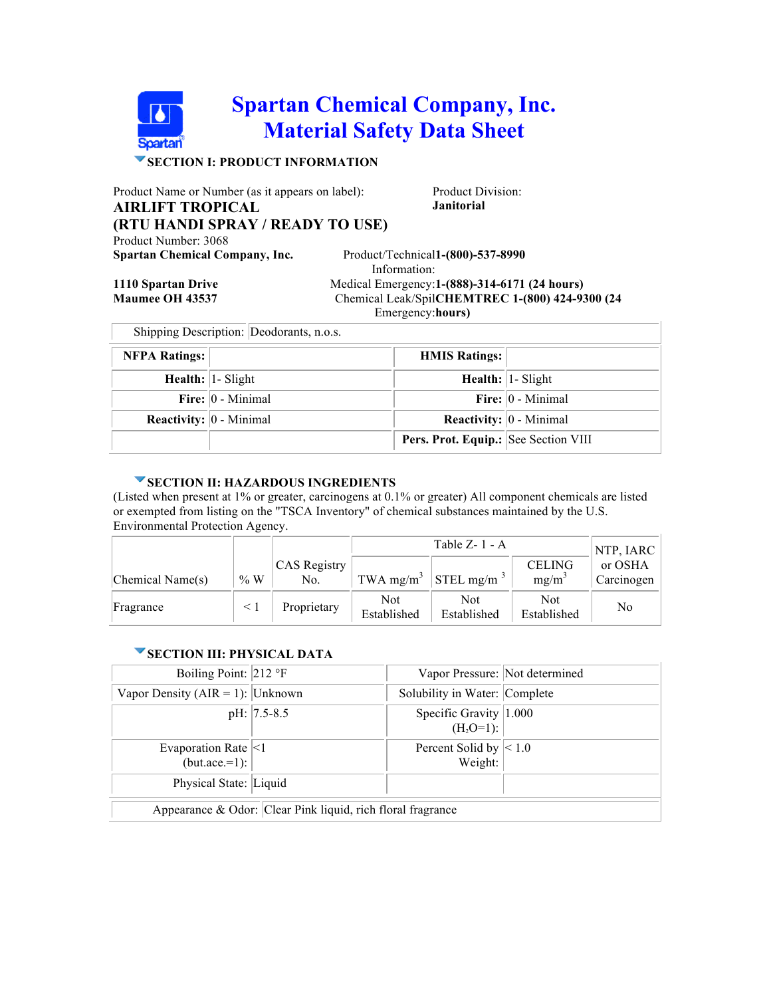# **Spartan Chemical Company, Inc. Material Safety Data Sheet**

## **SECTION I: PRODUCT INFORMATION**

Product Name or Number (as it appears on label): Product Division:

**AIRLIFT TROPICAL (RTU HANDI SPRAY / READY TO USE)**

Product Number: 3068

**Spartan Chemical Company, Inc.** 

**Janitorial**

Information: Product/Technical1-(800)-537-8990 **1110 Spartan Drive** Medical Emergency:**1-(888)-314-6171 (24 hours) Maumee OH 43537** Chemical Leak/Spil CHEMTREC 1-(800) 424-9300 (24 **PM** 

| 1110 Spartan Drive     |
|------------------------|
| <b>Maumee OH 43537</b> |
|                        |

Emergency: **hours)**

| Shipping Description: Deodorants, n.o.s. |                      |                                           |                          |  |
|------------------------------------------|----------------------|-------------------------------------------|--------------------------|--|
| <b>NFPA Ratings:</b>                     |                      | <b>HMIS Ratings:</b>                      |                          |  |
|                                          | Health: 1- Slight    |                                           | <b>Health: 1- Slight</b> |  |
|                                          | Fire: $ 0 -$ Minimal |                                           | Fire: $ 0 -$ Minimal     |  |
| <b>Reactivity:</b> $\vert 0$ - Minimal   |                      | <b>Reactivity:</b> $ 0 - \text{Minimal} $ |                          |  |
|                                          |                      | Pers. Prot. Equip.: See Section VIII      |                          |  |

#### **SECTION II: HAZARDOUS INGREDIENTS**

(Listed when present at 1% or greater, carcinogens at 0.1% or greater) All component chemicals are listed or exempted from listing on the "TSCA Inventory" of chemical substances maintained by the U.S. Environmental Protection Agency.

|                  |    |                     |                    | Table $Z - 1 - A$                            |                    | NTP, IARC  |
|------------------|----|---------------------|--------------------|----------------------------------------------|--------------------|------------|
|                  |    | <b>CAS</b> Registry |                    |                                              | <b>CELING</b>      | or OSHA    |
| Chemical Name(s) | %W | No.                 |                    | TWA mg/m <sup>3</sup> STEL mg/m <sup>3</sup> | $mg/m^3$           | Carcinogen |
| Fragrance        |    | Proprietary         | Not<br>Established | Not<br>Established                           | Not<br>Established | No         |

#### **SECTION III: PHYSICAL DATA**

| Boiling Point: 212 °F                                       |                 | Vapor Pressure: Not determined             |  |
|-------------------------------------------------------------|-----------------|--------------------------------------------|--|
| Vapor Density ( $AIR = 1$ ): Unknown                        |                 | Solubility in Water: Complete              |  |
|                                                             | $pH:  7.5-8.5 $ | Specific Gravity $ 1.000 $<br>$(H_2O=1)$ : |  |
| Evaporation Rate $ <1$<br>$(but.ace.=1):$                   |                 | Percent Solid by $ < 1.0$<br>Weight:       |  |
| Physical State: Liquid                                      |                 |                                            |  |
| Appearance & Odor: Clear Pink liquid, rich floral fragrance |                 |                                            |  |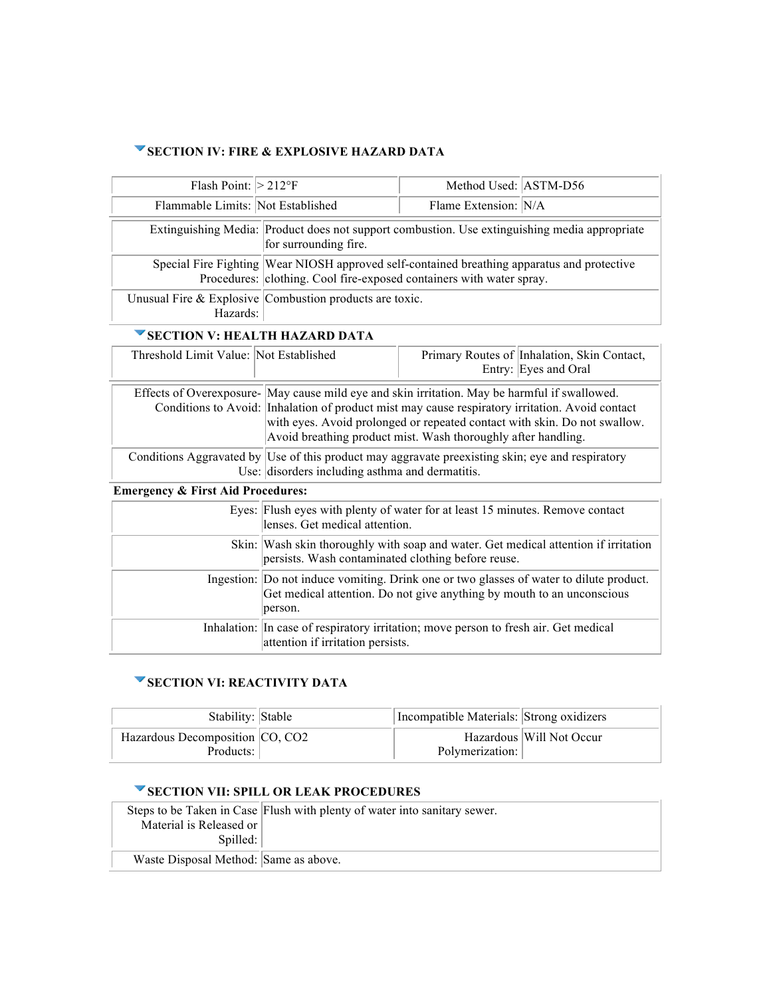### **SECTION IV: FIRE & EXPLOSIVE HAZARD DATA**

| Flash Point: $>212^{\circ}F$                 |                                                                                                                                                                                                                                                                                                                                                | Method Used: ASTM-D56 |                                                                     |  |
|----------------------------------------------|------------------------------------------------------------------------------------------------------------------------------------------------------------------------------------------------------------------------------------------------------------------------------------------------------------------------------------------------|-----------------------|---------------------------------------------------------------------|--|
| Flammable Limits: Not Established            |                                                                                                                                                                                                                                                                                                                                                | Flame Extension: N/A  |                                                                     |  |
|                                              | Extinguishing Media: Product does not support combustion. Use extinguishing media appropriate<br>for surrounding fire.                                                                                                                                                                                                                         |                       |                                                                     |  |
|                                              | Special Fire Fighting Wear NIOSH approved self-contained breathing apparatus and protective<br>Procedures: clothing. Cool fire-exposed containers with water spray.                                                                                                                                                                            |                       |                                                                     |  |
| Hazards:                                     | Unusual Fire & Explosive Combustion products are toxic.                                                                                                                                                                                                                                                                                        |                       |                                                                     |  |
| SECTION V: HEALTH HAZARD DATA                |                                                                                                                                                                                                                                                                                                                                                |                       |                                                                     |  |
| Threshold Limit Value: Not Established       |                                                                                                                                                                                                                                                                                                                                                |                       | Primary Routes of Inhalation, Skin Contact,<br>Entry: Eyes and Oral |  |
|                                              | Effects of Overexposure- May cause mild eye and skin irritation. May be harmful if swallowed.<br>Conditions to Avoid: Inhalation of product mist may cause respiratory irritation. Avoid contact<br>with eyes. Avoid prolonged or repeated contact with skin. Do not swallow.<br>Avoid breathing product mist. Wash thoroughly after handling. |                       |                                                                     |  |
|                                              | Conditions Aggravated by Use of this product may aggravate preexisting skin; eye and respiratory<br>Use: disorders including asthma and dermatitis.                                                                                                                                                                                            |                       |                                                                     |  |
| <b>Emergency &amp; First Aid Procedures:</b> |                                                                                                                                                                                                                                                                                                                                                |                       |                                                                     |  |
|                                              | Eyes: Flush eyes with plenty of water for at least 15 minutes. Remove contact<br>lenses. Get medical attention.                                                                                                                                                                                                                                |                       |                                                                     |  |
|                                              | Skin: Wash skin thoroughly with soap and water. Get medical attention if irritation<br>persists. Wash contaminated clothing before reuse.                                                                                                                                                                                                      |                       |                                                                     |  |
|                                              | Ingestion: Do not induce vomiting. Drink one or two glasses of water to dilute product.<br>Get medical attention. Do not give anything by mouth to an unconscious<br>person.                                                                                                                                                                   |                       |                                                                     |  |
|                                              | Inhalation: In case of respiratory irritation; move person to fresh air. Get medical<br>attention if irritation persists.                                                                                                                                                                                                                      |                       |                                                                     |  |

## **SECTION VI: REACTIVITY DATA**

| Stability: Stable               | Incompatible Materials: Strong oxidizers |                          |
|---------------------------------|------------------------------------------|--------------------------|
| Hazardous Decomposition CO, CO2 |                                          | Hazardous Will Not Occur |
| Products:                       | Polymerization:                          |                          |

# **SECTION VII: SPILL OR LEAK PROCEDURES**

|                                       | 920 HOR THE 91 HE ON EEAN FNOCEDUNES                                      |
|---------------------------------------|---------------------------------------------------------------------------|
|                                       | Steps to be Taken in Case Flush with plenty of water into sanitary sewer. |
| Material is Released or<br>Spilled:   |                                                                           |
| Waste Disposal Method: Same as above. |                                                                           |